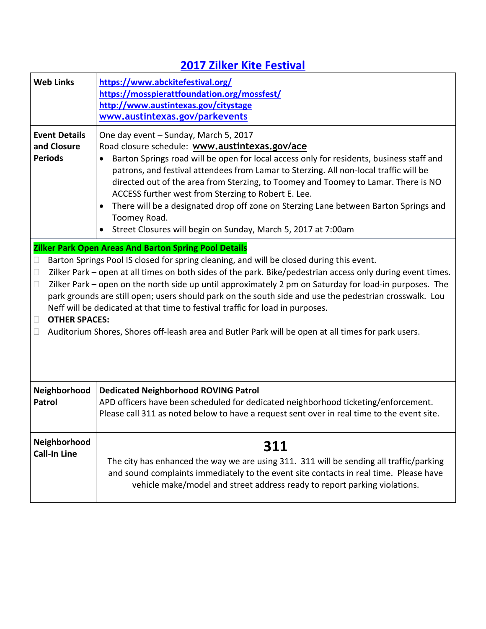## **2017 Zilker Kite Festival**

| <b>Web Links</b>                                                                                                                                                                                                                                                                                                                                                                                                                                                                                                                                                                                                                                                                                                                                            | https://www.abckitefestival.org/<br>https://mosspierattfoundation.org/mossfest/<br>http://www.austintexas.gov/citystage<br>www.austintexas.gov/parkevents                                                                                                                                                                                                                                                                                                                                                                                                                                          |
|-------------------------------------------------------------------------------------------------------------------------------------------------------------------------------------------------------------------------------------------------------------------------------------------------------------------------------------------------------------------------------------------------------------------------------------------------------------------------------------------------------------------------------------------------------------------------------------------------------------------------------------------------------------------------------------------------------------------------------------------------------------|----------------------------------------------------------------------------------------------------------------------------------------------------------------------------------------------------------------------------------------------------------------------------------------------------------------------------------------------------------------------------------------------------------------------------------------------------------------------------------------------------------------------------------------------------------------------------------------------------|
| <b>Event Details</b><br>and Closure<br><b>Periods</b>                                                                                                                                                                                                                                                                                                                                                                                                                                                                                                                                                                                                                                                                                                       | One day event - Sunday, March 5, 2017<br>Road closure schedule: www.austintexas.gov/ace<br>Barton Springs road will be open for local access only for residents, business staff and<br>patrons, and festival attendees from Lamar to Sterzing. All non-local traffic will be<br>directed out of the area from Sterzing, to Toomey and Toomey to Lamar. There is NO<br>ACCESS further west from Sterzing to Robert E. Lee.<br>There will be a designated drop off zone on Sterzing Lane between Barton Springs and<br>Toomey Road.<br>Street Closures will begin on Sunday, March 5, 2017 at 7:00am |
| <b>Zilker Park Open Areas And Barton Spring Pool Details</b><br>Barton Springs Pool IS closed for spring cleaning, and will be closed during this event.<br>$\Box$<br>Zilker Park - open at all times on both sides of the park. Bike/pedestrian access only during event times.<br>$\Box$<br>Zilker Park – open on the north side up until approximately 2 pm on Saturday for load-in purposes. The<br>$\Box$<br>park grounds are still open; users should park on the south side and use the pedestrian crosswalk. Lou<br>Neff will be dedicated at that time to festival traffic for load in purposes.<br><b>OTHER SPACES:</b><br>$\Box$<br>Auditorium Shores, Shores off-leash area and Butler Park will be open at all times for park users.<br>$\Box$ |                                                                                                                                                                                                                                                                                                                                                                                                                                                                                                                                                                                                    |
| Neighborhood<br>Patrol                                                                                                                                                                                                                                                                                                                                                                                                                                                                                                                                                                                                                                                                                                                                      | <b>Dedicated Neighborhood ROVING Patrol</b><br>APD officers have been scheduled for dedicated neighborhood ticketing/enforcement.<br>Please call 311 as noted below to have a request sent over in real time to the event site.                                                                                                                                                                                                                                                                                                                                                                    |
| Neighborhood<br><b>Call-In Line</b>                                                                                                                                                                                                                                                                                                                                                                                                                                                                                                                                                                                                                                                                                                                         | 311<br>The city has enhanced the way we are using 311. 311 will be sending all traffic/parking<br>and sound complaints immediately to the event site contacts in real time. Please have<br>vehicle make/model and street address ready to report parking violations.                                                                                                                                                                                                                                                                                                                               |